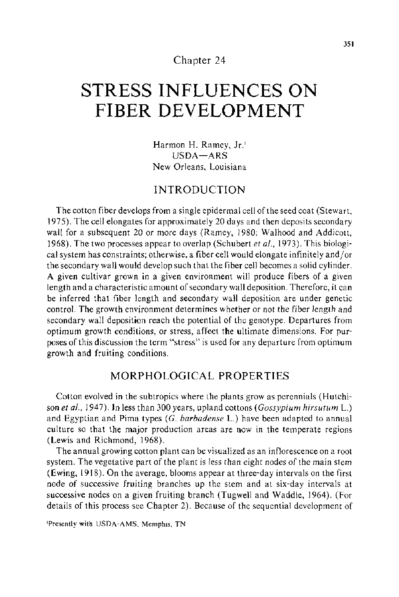## Chapter 24

# **STRESS INFLUENCES ON FIBER DEVELOPMENT**

Harmon H. Ramey, Jr.<sup>1</sup> USDA-ARS New Orleans, Louisiana

## INTRODUCTION

The cotton fiber develops from a single epidermal cell of the seed coat (Stewart, 1975). The cell elongates for approximately 20 days and then deposits secondary wall for a subsequent 20 or more days (Ramey, 1980; Walhood and Addicott, 1968). The two processes appear to overlap (Schubert *eta/.,* 1973). This biological system has constraints; otherwise, a fiber cell would elongate infinitely and/ or the secondary wall would develop such that the fiber cell becomes a solid cylinder. A given cultivar grown in a given environment will produce fibers of a given length and a characteristic amount of secondary wall deposition. Therefore, it can be inferred that fiber length and secondary wall deposition are under genetic control. The growth environment determines whether or not the fiber length and secondary wall deposition reach the potential of the genotype. Departures from optimum growth conditions, or stress, affect the ultimate dimensions. For purposes of this discussion the term "stress" is used for any departure from optimum growth and fruiting conditions.

## MORPHOLOGICAL PROPERTIES

Cotton evolved in the subtropics where the plants grow as perennials (Hutchison *eta!.,* J 947). Jn Jess than 300 years, upland cottons *(Gossypium hirsutum* L.) and Egyptian and Pima types (G. *barbadense* L.) have been adapted to annual culture so that the major production areas are now in the temperate regions (Lewis and Richmond, 1968).

The annual growing cotton plant can be visualized as an inflorescence on a root system. The vegetative part of the plant is less than eight nodes of the main stem (Ewing, 1918). On the average, blooms appear at three-day intervals on the first node of successive fruiting branches up the stem and at six-day intervals at successive nodes on a given fruiting branch (Tugwell and Waddle, 1964). (For details of this process see Chapter 2). Because of the sequential development of

'Presently with USDA-AMS. Memphis, TN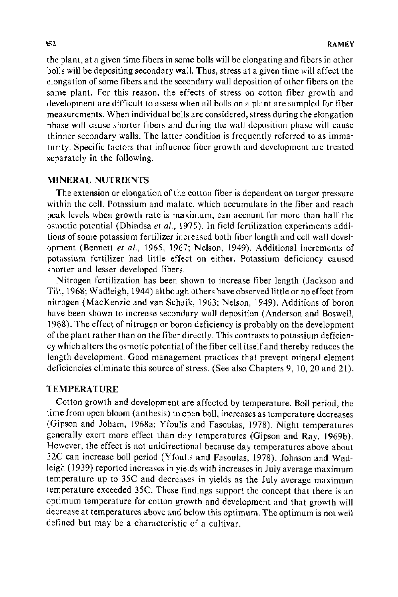the plant, at a given time fibers in some bolls will be elongating and fibers in other bolls will be depositing secondary wall. Thus, stress at a given time will affect the elongation of some fibers and the secondary wall deposition of other fibers on the same plant. For this reason, the effects of stress on cotton fiber growth and development are difficult to assess when all bolls on a plant are sampled for fiber measurements. When individual bolls are considered, stress during the elongation phase will cause shorter fibers and during the wall deposition phase will cause thinner secondary walls. The latter condition is frequently referred to as immaturity. Specific factors that influence fiber growth and development are treated separately in the following.

## **MINERAL NUTRIENTS**

The extension or elongation of the cotton fiber is dependent on turgor pressure within the cell. Potassium and malate, which accumulate in the fiber and reach peak levels when growth rate is maximum, can account for more than half the osmotic potential (Dhindsa *et al.,* 1975). In field fertilization experiments additions of some potassium fertilizer increased both fiber length and cell wall development (Bennett *et al.,* 1965, 1967; Nelson, 1949). Additional increments of potassium fertilizer had little effect on either. Potassium deficiency caused shorter and lesser developed fibers.

Nitrogen fertilization has been shown to increase fiber length (Jackson and Tilt, 1968; Wadleigh, 1944) although others have observed little or no effect from nitrogen (MacKenzie and van Schaik, 1963; Nelson, 1949). Additions of boron have been shown to increase secondary wall deposition (Anderson and Boswell, 1968). The effect of nitrogen or boron deficiency is probably on the development of the plant rather than on the fiber directly. This contrasts to potassium deficiency which alters the osmotic potential of the fiber cell itself and thereby reduces the length development. Good management practices that prevent mineral element deficiencies eliminate this source of stress. (See also Chapters 9, 10, 20 and 21 ).

## **TEMPERATURE**

Cotton growth and development are affected by temperature. Boll period, the time from open bloom (anthesis) to open boll, increases as temperature decreases (Gipson and Joham, 1968a; Yfoulis and Fasoulas, 1978). Night temperatures generally exert more effect than day temperatures (Gipson and Ray, 1969b). However, the effect is not unidirectional because day temperatures above about 32C can increase boll period (Yfoulis and Fasoulas, 1978). Johnson and Wadleigh ( 1939) reported increases in yields with increases in July average maximum temperature up to 35C and decreases in yields as the July average maximum temperature exceeded 35C. These findings support the concept that there is an optimum temperature for cotton growth and development and that growth will decrease at temperatures above and below this optimum. The optimum is not well defined but may be a characteristic of a cultivar.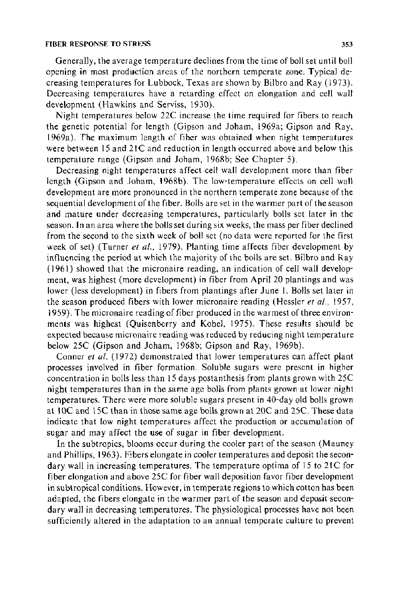#### **FIBER RESPONSE TO STRESS 353**

Generally, the average temperature declines from the time of boll set until boll opening **in** most production areas of the northern temperate zone. Typical decreasing temperatures for Lubbock, Texas are shown by Bilbro and Ray (1973). Decreasing temperatures have a retarding effect on elongation and cell wall development (Hawkins and Serviss, 1930).

Night temperatures below 22C increase the time required for fibers to reach the genetic potential for length (Gipson and Joham, 1969a; Gipson and Ray, 1969a). The maximum length of fiber was obtained when night temperatures were between 15 and 21C and reduction in length occurred above and below this temperature range (Gipson and Joham, 1968b; See Chapter 5).

Decreasing night temperatures affect cell wall development more than fiber length (Gipson and Joham, 1968b). The low-temperature effects on cell wall development are more pronounced in the northern temperate zone because of the sequential development of the fiber. Bolls are set in the warmer part of the season and mature under decreasing temperatures, particularly bolls set later in the season. **In** an area where the bolls set during six weeks, the mass per fiber declined from the second to the sixth week of boll set (no data were reported for the first week of set) (Turner *et a/.,* 1979). Planting time affects fiber development by influencing the period at which the majority of the bolls are set. Bilbro and Ray (1961) showed that the micronaire reading, an indication of cell wall development, was highest (more development) in fiber from April 20 plantings and was lower (less development) in fibers from plantings after June I. Bolls set later in the season produced fibers with lower micronaire reading (Hessler *et a!.,* 1957, 1959). The micronaire reading of fiber produced in the warmest of three environments was highest (Quisenberry and Kobel, 1975). These results should be expected because micronaire reading was reduced by reducing night temperature below 25C (Gipson and Joham, 1968b; Gipson and Ray, 1969b).

Conner et al. (1972) demonstrated that lower temperatures can affect plant processes involved in fiber formation. Soluble sugars were present in higher concentration in bolls less than 15 days postanthesis from plants grown with 25C night temperatures than in the same age bolls from plants grown at lower night temperatures. There were more soluble sugars present in 40-day old bolls grown at **1** OC and 15C than in those same age bolls grown at 20C and 25C. These data indicate that low night temperatures affect the production or accumulation of sugar and may affect the use of sugar in fiber development.

In the subtropics, blooms occur during the cooler part of the season (Mauney and Phillips, 1963). Fibers elongate in cooler temperatures and deposit the secondary wall in increasing temperatures. The temperature optima of 15 to 21C for fiber elongation and above 25C for fiber wall deposition favor fiber development in subtropical conditions. However, in temperate regions to which cotton has been adapted, the fibers elongate in the warmer part of the season and deposit secondary wall in decreasing temperatures. The physiological processes have not been sufficiently altered in the adaptation to an annual temperate culture to prevent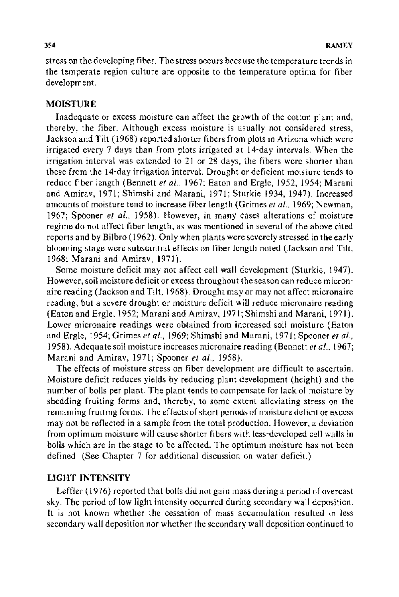stress on the developing fiber. The stress occurs because the temperature trends in the temperate region culture are opposite to the temperature optima for fiber development.

## **MOISTURE**

Inadequate or excess moisture can affect the growth of the cotton plant and, thereby, the fiber. Although excess moisture is usually not considered stress, Jackson and Tilt ( 1968) reported shorter fibers from plots in Arizona which were irrigated every 7 days than from plots irrigated at 14-day intervals. When the irrigation interval was extended to 21 or 28 days, the fibers were shorter than those from the 14-day irrigation interval. Drought or deficient moisture tends to reduce fiber length (Bennett *et al.,* 1967; Eaton and Ergle, 1952, 1954; Marani and Amirav, 1971; Shimshi and Marani, 1971; Sturkie 1934, 1947). Increased amounts of moisture tend to increase fiber length (Grimes *et* at., 1969; Newman, 1967; Spooner *et al.,* 1958). However, in many cases alterations of moisture regime do not affect fiber length, as was mentioned in several of the above cited reports and by Bilbro ( 1962). Only when plants were severely stressed in the early blooming stage were substantial effects on fiber length noted (Jackson and Tilt, 1968; Marani and Amirav, 1971 ).

Some moisture deficit may not affect cell wall development (Sturkie, 1947). However, soil moisture deficit or excess throughout the season can reduce micronaire reading (Jackson and Tilt, 1968). Drought may or may not affect micronaire reading, but a severe drought or moisture deficit will reduce micronaire reading (Eaton and Ergle, 1952; Marani and Amirav, 1971; Shimshi and Marani, 1971). Lower micronaire readings were obtained from increased soil moisture (Eaton and Ergle, 1954; Grimes *et al.*, 1969; Shimshi and Marani, 1971; Spooner *et al.*, 1958). Adequate soil moisture increases micronaire reading (Bennett *et al.,* 1967; Marani and Amirav, 1971; Spooner *et al.,* 1958).

The effects of moisture stress on fiber development are difficult to ascertain. Moisture deficit reduces yields by reducing plant development (height) and the number of bolls per plant. The plant tends to compensate for lack of moisture by shedding fruiting forms and, thereby, to some extent alleviating stress on the remaining fruiting forms. The effects of short periods of moisture deficit or excess may not be reflected in a sample from the total production. However, a deviation from optimum moisture will cause shorter fibers with less-developed cell walls in bolls which are in the stage to be affected. The optimum moisture has not been defined. (See Chapter 7 for additional discussion on water deficit.)

## **LIGHT** INTENSITY

Leffler ( 1976) reported that bolls did not gain mass during a period of overcast sky. The period of low light intensity occurred during secondary wall deposition. It is not known whether the cessation of mass accumulation resulted in less secondary wall deposition nor whether the secondary wall deposition continued to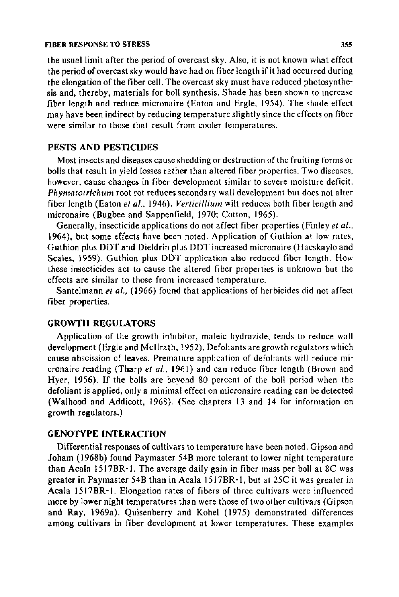#### FIBER RESPONSE TO STRESS 355

the usual limit after the period of overcast sky. Also, it is not known what effect the period of overcast sky would have had on fiber length if it had occurred during the elongation of the fiber cell. The overcast sky must have reduced photosynthesis and, thereby, materials for boll synthesis. Shade has been shown to mcrease fiber length and reduce micronaire (Eaton and Ergle, 1954). The shade effect may have been indirect by reducing temperature slightly since the effects on fiber were similar to those that result from cooler temperatures.

## PESTS AND PESTICIDES

Most insects and diseases cause shedding or destruction of the fruiting forms or bolls that result in yield losses rather than altered fiber properties. Two diseases, however, cause changes in fiber development similar to severe moisture deficit. *Phymatotrichum* root rot reduces secondary wall development but does not alter fiber length (Eaton et al., 1946). *Verticillium* wilt reduces both fiber length and micronaire (Bugbee and Sappenfield, 1970; Cotton, 1965).

Generally, insecticide applications do not affect fiber properties (Finley *et al.,*  1964), but some effects have been noted. Application of Guthion at low rates, Guthion plus DDT and Dieldrin plus DDT increased micronaire (Hacskaylo and Scales, 1959). Guthion plus DDT application also reduced fiber length. How these insecticides act to cause the altered fiber properties is unknown but the effects are similar to those from increased temperature.

Santelmann *et al.*, (1966) found that applications of herbicides did not affect fiber properties.

## GROWTH REGULATORS

Application of the growth inhibitor, maleic hydrazide, tends to reduce wall development (Ergle and Mcilrath, 1952). Defoliants are growth regulators which cause abscission of leaves. Premature application of defoliants will reduce micronaire reading (Tharp *et a/.,* 1961) and can reduce fiber length (Brown and Hyer, 1956). If the bolls are beyond 80 percent of the boll period when the defoliant is applied, only a minimal effect on micronaire reading can be detected (Walhood and Addicott, 1968). (See chapters 13 and 14 for information on growth regulators.)

## GENOTYPE INTERACTION

Differential responses of cultivars to temperature have been noted. Gipson and Joham (1968b) found Paymaster 54B more tolerant to lower night temperature than Acala 1517BR-l. The average daily gain in fiber mass per boll at 8C was greater in Paymaster 548 than in Acala 1517BR -1, but at 25C it was greater in Acala 1517BR-l. Elongation rates of fibers of three cultivars were influenced more by lower night temperatures than were those of two other cultivars (Gipson and Ray, 1969a). Quisenberry and Kobel (1975) demonstrated differences among cultivars in fiber development at lower temperatures. These examples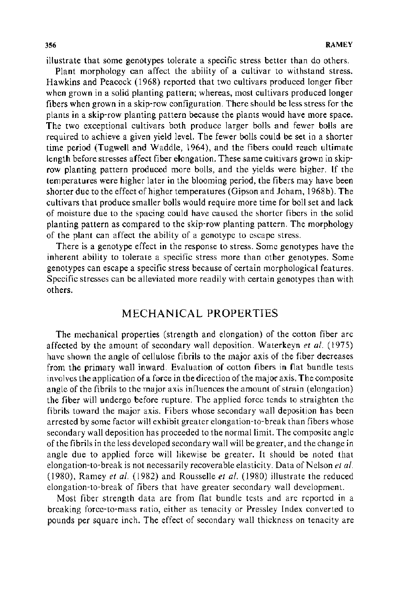illustrate that some genotypes tolerate a specific stress better than do others.

Plant morphology can affect the ability of a cultivar to withstand stress. Hawkins and Peacock ( 1968) reported that two cultivars produced longer fiber when grown in a solid planting pattern; whereas, most cultivars produced longer fibers when grown in a skip-row configuration. There should be less stress for the plants in a skip-row planting pattern because the plants would have more space. The two exceptional cultivars both produce larger bolls and fewer bolls are required to achieve a given yield level. The fewer bolls could be set in a shorter time period (Tugwell and Waddle, 1964), and the fibers could reach ultimate length before stresses affect fiber elongation. These same cultivars grown in skiprow planting pattern produced more bolls, and the yields were higher. If the temperatures were higher later in the blooming period, the fibers may have been shorter due to the effect of higher temperatures (Gipson and Joham, 1968b). The cultivars that produce smaller bolls would require more time for boll set and lack of moisture due to the spacing could have caused the shorter fibers in the solid planting pattern as compared to the skip-row planting pattern. The morphology of the plant can affect the ability of a genotype to escape stress.

There is a genotype effect in the response to stress. Some genotypes have the inherent ability to tolerate a specific stress more than other genotypes. Some genotypes can escape a specific stress because of certain morphological features. Specific stresses can be alleviated more readily with certain genotypes than with others.

## MECHANICAL PROPERTIES

The mechanical properties (strength and elongation) of the cotton fiber are affected by the amount of secondary wall deposition. Waterkeyn *et al.* (1975) have shown the angle of cellulose fibrils to the major axis of the fiber decreases from the primary wall inward. Evaluation of cotton fibers in flat bundle tests involves the application of a force in the direction of the major axis. The composite angle of the fibrils to the major axis influences the amount of strain (elongation) the fiber will undergo before rupture. The applied force tends to straighten the fibrils toward the major axis. Fibers whose secondary wall deposition has been arrested by some factor will exhibit greater elongation-to-break than fibers whose secondary wall deposition has proceeded to the normal limit. The composite angle of the fibrils in the less developed secondary wall will be greater, and the change in angle due to applied force will likewise be greater. It should be noted that elongation-to-break is not necessarily recoverable elasticity. Data of Nelson *et al.*  ( 1980), Ramey *et a/.* ( 1982) and Rousselle *et a/.* ( 1980) illustrate the reduced elongation-to-break of fibers that have greater secondary wall development.

Most fiber strength data are from flat bundle tests and are reported in a breaking force-to-mass ratio, either as tenacity or Pressley Index converted to pounds per square inch. The effect of secondary wall thickness on tenacity are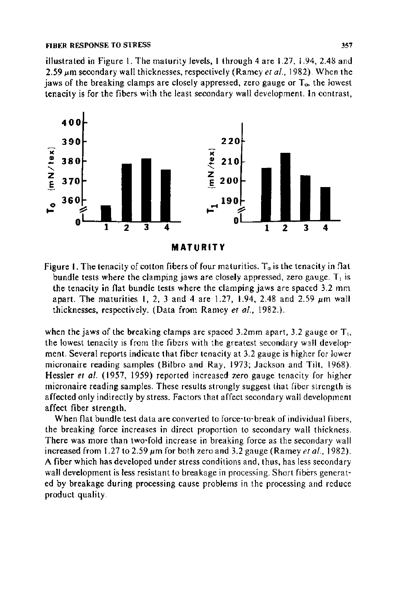illustrated in Figure 1. The maturity levels, I through 4 are 1.27. 1.94, 2.48 and 2.59  $\mu$ m secondary wall thicknesses, respectively (Ramey *et al.*, 1982). When the jaws of the breaking clamps are closely appressed, zero gauge or  $T<sub>o</sub>$ , the lowest tenacity is for the fibers with the least secondary wall development. In contrast,



Figure 1. The tenacity of cotton fibers of four maturities.  $T_0$  is the tenacity in flat bundle tests where the clamping jaws are closely appressed, zero gauge.  $T_1$  is the tenacity in flat bundle tests where the clamping jaws are spaced 3.2 mm apart. The maturities 1, 2, 3 and 4 are 1.27, 1.94, 2.48 and 2.59  $\mu$ m wall thicknesses, respectively. (Data from Ramey *et al.*, 1982.).

when the jaws of the breaking clamps are spaced 3.2mm apart, 3.2 gauge or  $T_{\rm t}$ , the lowest tenacity is from the fibers with the greatest secondary wall development. Several reports indicate that fiber tenacity at 3.2 gauge is higher for lower micronaire reading samples (Bilbro and Ray, 1973; Jackson and Tilt, 1968). Hessler *et al.* { 1957, 1959) reported increased zero gauge tenacity for higher micronaire reading samples. These results strongly suggest that fiber strength is affected only indirectly by stress. Factors that affect secondary wall development affect fiber strength.

When flat bundle test data are converted to force-to-break of individual fibers, the breaking force increases in direct proportion to secondary wall thickness. There was more than two-fold increase in breaking force as the secondary wall increased from 1.27 to 2.59  $\mu$ m for both zero and 3.2 gauge (Ramey *et al.*, 1982). A fiber which has developed under stress conditions and, thus, has less secondary wall development is less resistant to breakage in processing. Short fibers generated by breakage during processing cause problems in the processing and reduce product quality.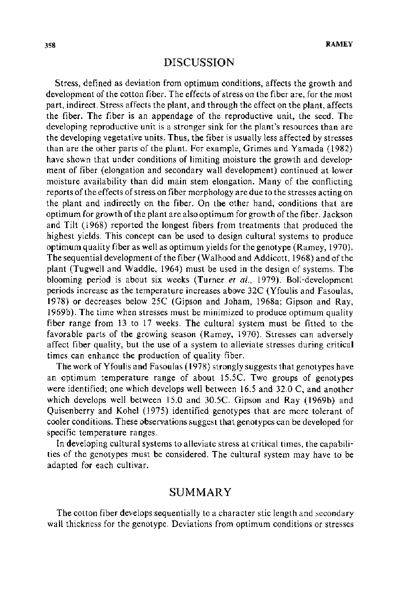## DISCUSSION

Stress, defined as deviation from optimum conditions, affects the growth and development of the cotton fiber. The effects of stress on the fiber are, for the most part, indirect. Stress affects the plant, and through the effect on the plant, affects the fiber. The fiber is an appendage of the reproductive unit, the seed. The developing reproductive unit is a stronger sink for the plant's resources than are the developing vegetative units. Thus, the fiber is usually less affected by stresses than are the other parts of the plant. For example, Grimes and Yamada (1982) have shown that under conditions of limiting moisture the growth and development of fiber (elongation and secondary wall development) continued at lower moisture availability than did main stem elongation. Many of the conflicting reports of the effects of stress on fiber morphology are due to the stresses acting on the plant and indirectly on the fiber. On the other hand, conditions that are optimum for growth of the plant are also optimum for growth of the fiber. Jackson and Tilt (1968) reported the longest fibers from treatments that produced the highest yields. This concept can be used to design cultural systems to produce optimum quality fiber as well as optimum yields for the genotype (Ramey, 1970). The sequential development of the fiber (Walhood and Addicott, 1968) and of the plant (Tugwell and Waddle, 1964) must be used in the design of systems. The blooming period is about six weeks (Turner *et al.,* 1979). Boll-development periods increase as the temperature increases above 32C (Yfoulis and Fasoulas, 1978) or decreases below 25C (Gipson and Joham, 1968a; Gipson and Ray, 1969b). The time when stresses must be minimized to produce optimum quality fiber range from 13 to 17 weeks. The cultural system must be fitted to the favorable parts of the growing season (Ramey, 1970). Stresses can adversely affect fiber quality, but the use of a system to alleviate stresses during critical times can enhance the production of quality fiber.

The work of Yfoulis and Fasoulas (1978) strongly suggests that genotypes have an optimum temperature range of about 15.5C. Two groups of genotypes were identified; one which develops well between 16.5 and 32.0 C, and another which develops well between 15.0 and 30.5C. Gipson and Ray (1969b) and Quisenberry and Kohel (1975) identified genotypes that are more tolerant of cooler conditions. These observations suggest that genotypes can be developed for specific temperature ranges.

In developing cultural systems to alleviate stress at critical times, the capabilities of the genotypes must be considered. The cultural system may have to be adapted for each cultivar.

## SUMMARY

The cotton fiber develops sequentially to a character stic length and secondary wall thickness for the genotype. Deviations from optimum conditions or stresses